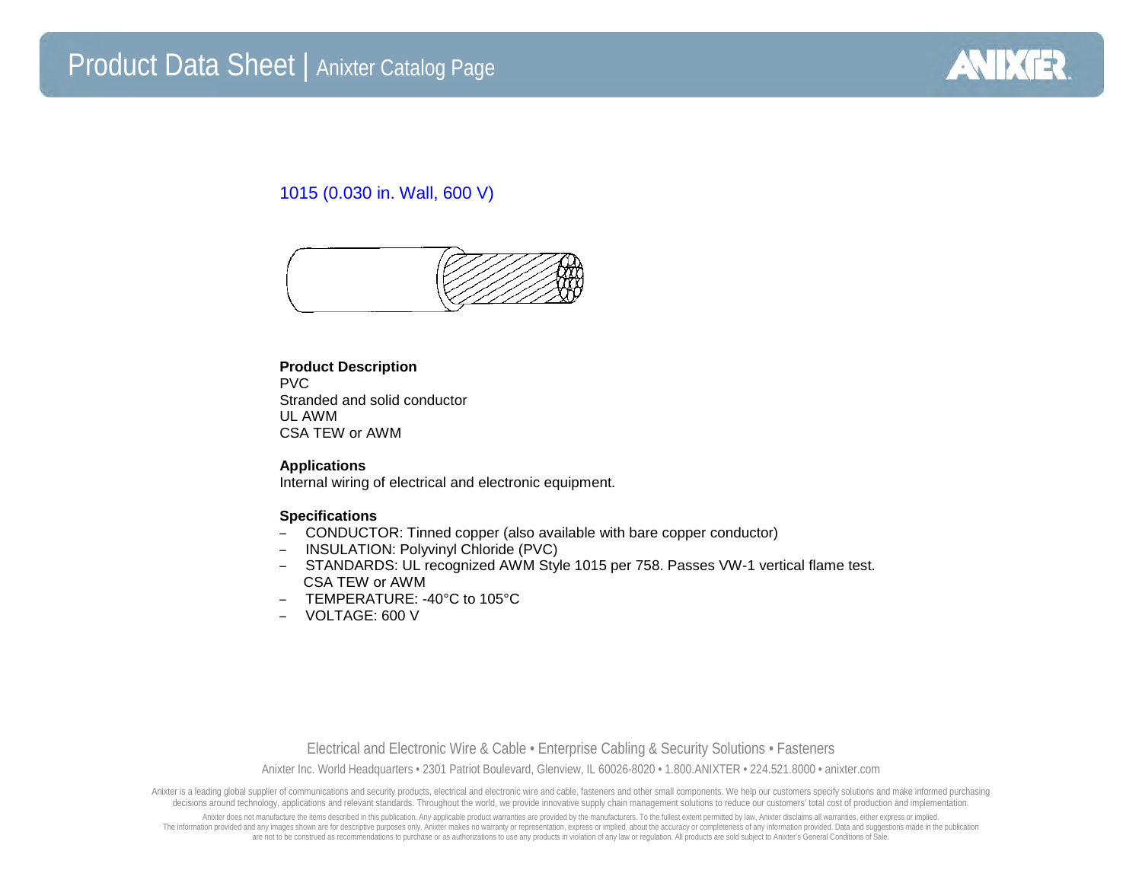

## 1015 (0.030 in. Wall, 600 V)



## **Product Description**

PVC Stranded and solid conductor UL AWM CSA TEW or AWM

**Applications** Internal wiring of electrical and electronic equipment.

## **Specifications**

- CONDUCTOR: Tinned copper (also available with bare copper conductor)
- INSULATION: Polyvinyl Chloride (PVC)
- STANDARDS: UL recognized AWM Style 1015 per 758. Passes VW-1 vertical flame test. CSA TEW or AWM
- TEMPERATURE: -40°C to 105°C
- VOLTAGE: 600 V

Electrical and Electronic Wire & Cable • Enterprise Cabling & Security Solutions • Fasteners Anixter Inc. World Headquarters • 2301 Patriot Boulevard, Glenview, IL 60026-8020 • 1.800.ANIXTER • 224.521.8000 • anixter.com

Anixter is a leading global supplier of communications and security products, electrical and electronic wire and cable, fasteners and other small components. We help our customers specify solutions and make informed purcha decisions around technology, applications and relevant standards. Throughout the world, we provide innovative supply chain management solutions to reduce our customers' total cost of production and implementation.

Anixter does not manufacture the items described in this publication. Any applicable product warranties are provided by the manufacturers. To the fullest extent permitted by law, Anixter disclaims all warranties, either ex The information provided and any images shown are for descriptive purposes only. Anixter makes no warranty or representation, express or implied, about the accuracy or completeness of any information provided. Data and sug are not to be construed as recommendations to purchase or as authorizations to use any products in violation of any law or regulation. All products are sold subject to Anixter's General Conditions of Sale.